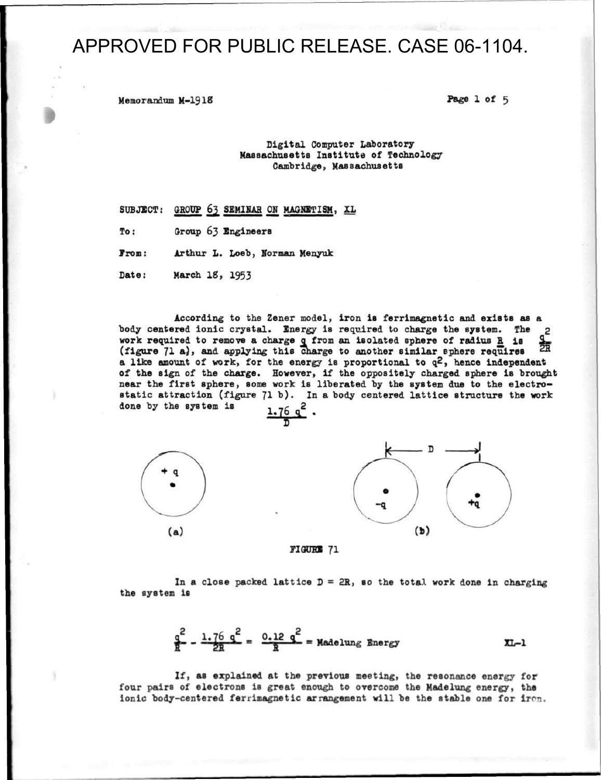**Memorandum M-1918 Page 1 of 5** 

#### **Digital Computer Laboratory Massachusetts Institute of Technology Cambridge, Massachusetts**

- SUBJECT: GROUP 63 SEMINAR ON MAGNETISM, XL
- **To: Croup 63 Engineers**

**Prom: Arthur L. Loeb, Norman Menyuk** 

**Date: March 18, 1953** 

**According to the Zener model, iron is ferrimagnetic and exists as a**  body centered ionic crystal. Energy is required to charge the system. The 2 **work required to remove a charge q from an isolated sphere of radius E is**  賨 (figure 71 a), and applying this charge to another similar sphere requires **a like amount of work, for the energy is proportional to q2, hence independent of the sign of the charge. However, if the oppositely charged sphere is brought**  near the first sphere, some work is liberated by the system due to the electro**static attraction (figure 71 b). In a body centered lattice structure the work done by the system is**  $\frac{1.76 \text{ q}^2}{ }$ 



**FIGURE 71** 

In a close packed lattice  $D = 2R$ , so the total work done in charging **the system is** 

$$
\frac{q^2}{R} - \frac{1 \cdot 76}{2R} \frac{q^2}{R} = \frac{0.12 \text{ }q^2}{R} = \text{Madelung Energy} \qquad \text{XL-1}
$$

**If, as explained at the previous meeting, the resonance energy for four pairs of electrons is great enough to overcome the Madelung energy, the**  ionic body-centered ferrimagnetic arrangement will be the stable one for iron.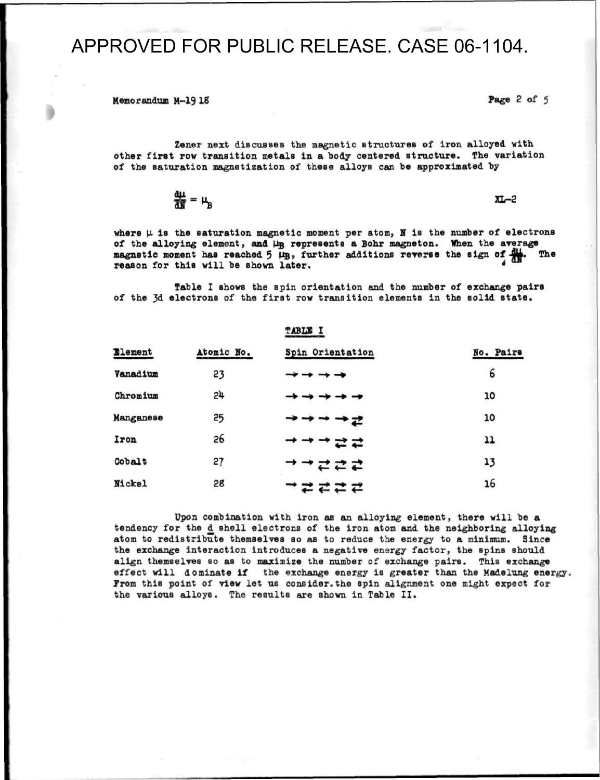**Memorandum M-19 18 Page 2 of 5** 

**Zener next discusses the magnetic structures of iron alloyed with other first row transition metals in a body centered structure. The variation of the saturation magnetization of these alloys can be approximated by** 

 $\frac{d\mu}{d\mathbf{N}} = \mu_B$   $\mathbf{X} \mathbf{L}$ 

where  $\mu$  is the saturation magnetic moment per atom, N is the number of electrons of the alloying element, and  $\mu_B$  represents a Bohr magneton. When the average magnetic moment has reached 5  $\mu_B$ , further additions reverse the sign of  $\mu_B$ . The **magnetic moment has reached 5**  $\mu_B$ **, further additions reverse the sign of**  $\frac{d\mu}{dN}$ **.** reason for this will be shown later.

**Table I shows the spin orientation and the number of exchange pairs**  of the 3d electrons of the first row transition elements in the solid state.

|           |            | ________                                                |           |  |
|-----------|------------|---------------------------------------------------------|-----------|--|
| Element   | Atomic No. | Spin Orientation                                        | No. Pairs |  |
| Vanadium  | 23         |                                                         | 6         |  |
| Chromium  | 5#         | $\rightarrow$ $\rightarrow$ $\rightarrow$ $\rightarrow$ | 10        |  |
| Manganese | 25         | ナナナス                                                    | 10        |  |
| Iron      | 26         | →さこ                                                     | 11        |  |
| Cobalt    | 27         | <b>ナごこご</b>                                             | 13        |  |
| Nickel    | 28         | コミミニミ                                                   | 16        |  |

**T4BLB I** 

**Upon combination with iron as an alloying element, there will be a tendency for the <1 shell electrons of the iron atom and the neighboring alloying atom to redistribute themselves so as to reduce the energy to a minimum. Since the exchange interaction introduces a negative energy factor, the spins should align themselves so as to maximize the number of exchange pairB. This exchange effect will dominate if the exchange energy is greater than the Madelung energy. Trom this point of view let us consider.the spin alignment one might expect for the various alloys. The results are shown in Table II.**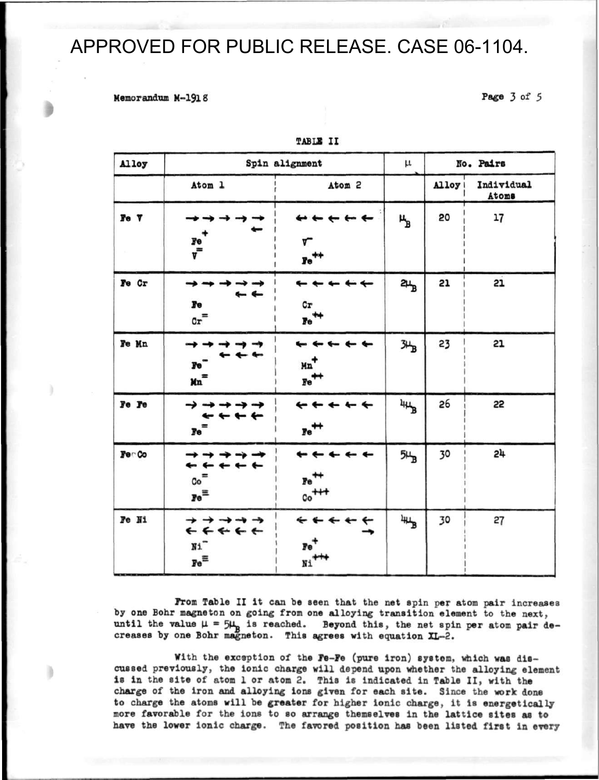#### **Memorandum M-1918**

**Page 3 of 5** 

| Alloy       | Spin alignment                                                                      |                                                                              | μ               | No. Pairs |                            |
|-------------|-------------------------------------------------------------------------------------|------------------------------------------------------------------------------|-----------------|-----------|----------------------------|
|             | Atom 1                                                                              | Atom <sub>2</sub>                                                            |                 | Alloy     | Individual<br><b>Atoms</b> |
| $F$ $o$ $V$ | $\begin{array}{c}\n\mathbf{r}_{\mathrm{e}} \\ \mathbf{r}_{\mathrm{e}}\n\end{array}$ | $\leftarrow$ $\leftarrow$ $\leftarrow$<br>┳<br>$\mathbf{r}\mathrm{e}^{+\!+}$ | ሤ               | 20        | 17                         |
| Fe Cr       | Fe<br>$c_x$ =                                                                       | $c_{\bf r}$<br>$\mathbf{Fe}^{\text{++}}$                                     | 2щ              | 21        | 21                         |
| Fe Mn       | <b>Fe</b><br>Kn <sup>=</sup>                                                        | + + + +<br>Mn <sup>+</sup><br>$\mathbb{F}e^{\pm\pm}$                         | 34B             | 23        | 21                         |
| Fe Fe       | $\rightarrow$ $\rightarrow$ $\rightarrow$<br>Fe <sup>-</sup>                        | $r$ e $^+$                                                                   | $44\frac{1}{B}$ | 26        | 55                         |
| Fer Co      | $\mathtt{Co}^\equiv$<br>$\mathbf{r}\in$                                             | $r e^+$<br>$\circ\circ^{\text{++}}$                                          | $5H_B$          | 30        | 51                         |
| Te Ni       | → → →<br>*****<br>N1<br>$\mathbf{Fe}^{\Xi}$                                         | $Fe+$<br>$Ni$ <sup>++</sup>                                                  | $4\mu_B$        | 30        | 27                         |

**TABU! II** 

**From Table II it can be seen that the net spin per atom pair increases**  by one Bohr magneton on going from one alloying transition element to the next, until the value  $\mu = 5\mu_{\text{B}}$  is reached. Beyond this, the net spin per atom pair de**creases by one Bohr magneton. This agrees with equation XL-2.** 

**With the exception of the Fe-Fe (pure iron) system, which was discussed previously, the ionic charge will depend upon whether the alloying element is in the site of atom 1 or atom 2. This is indicated in Table II, with the charge of the iron and alloying Ions given for each site. Since the work done to charge the atoms will be greater for higher ionic charge, it is energetically more favorable for the ions to so arrange themselves in the lattice sites as to have the lower ionic charge. The favored position has been listed first in every**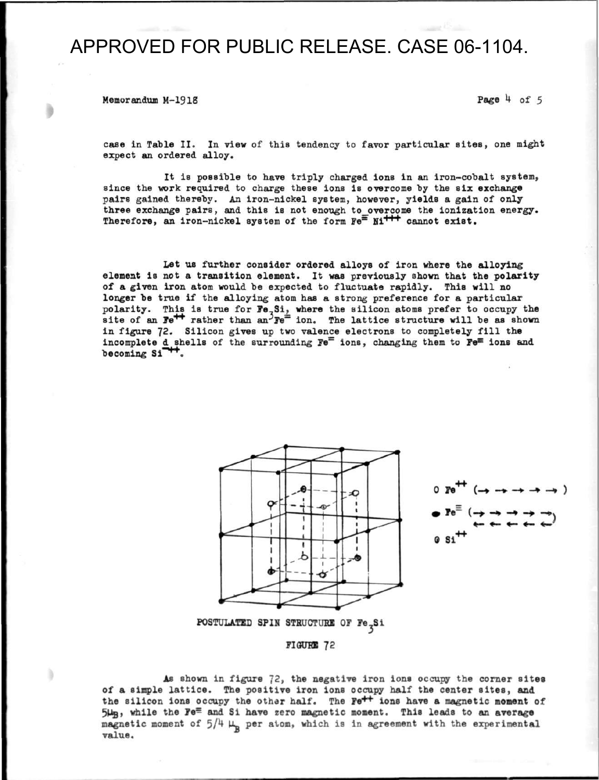**Memorandum M-1918** Page  $\frac{1}{2}$  of 5

**case in Table II. In view of this tendency to favor particular sites, one might expect an ordered alloy.** 

**It is possible to have triply charged ions in an iron-cobalt system,**  since the work required to charge these ions is overcome by the six exchange **pairs gained thereby. An iron-nickel system, however, yields a gain of only**  three exchange pairs, and this is not enough to overcome the ionization energy. **Therefore, an iron-nickel system of the form Fe<sup>=</sup> Ni + + <sup>+</sup> cannot exist.** 

**Let us further consider ordered alloys of iron where the alloying element is not a transition element. It was previously shown that the polarity of a given iron atom would be expected to fluctuate rapidly. This will no longer be true if the alloying atom has a strong preference for a particular**  polarity. This is true for Fe<sub>7</sub>Si, where the silicon atoms prefer to occupy the  $\mathbf{B}$  is the  $\mathbf{B}$  rather than an<sup> $\Im \mathbf{F}e^{\frac{1}{2}}$  ion. The lattice structure will be as shown</sup> in figure 72. Silicon gives up two valence electrons to completely fill the incomplete d shells of the surrounding Fe<sup> $=$ </sup> ions, changing them to Fe<sup> $=$ </sup> ions and becoming Si<sup>++</sup>.





**POSTULATED SPIN STRUCTURE OF Fe<sub>x</sub>Si** 



**As shown in figure** *12,* **the negative iron ions occupy the corner sites of a simple lattice. The positive iron ions occupy half the center sites, and**  the silicon ions occupy the other half. The Fe<sup>++</sup> ions have a magnetic moment of 5µ<sub>B</sub>, while the Fe<sup> $\equiv$ </sup> and Si have zero magnetic moment. This leads to an average magnetic moment of  $5/4 \mu_p$  per atom, which is in agreement with the experimental **value.**